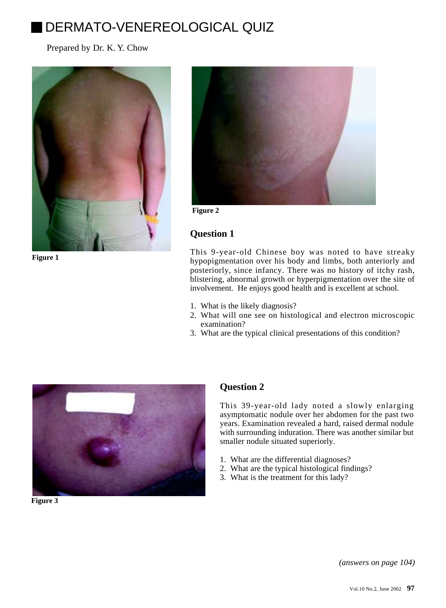# DERMATO-VENEREOLOGICAL QUIZ

Prepared by Dr. K. Y. Chow



**Figure 1**



**Figure 2**

# **Question 1**

This 9-year-old Chinese boy was noted to have streaky hypopigmentation over his body and limbs, both anteriorly and posteriorly, since infancy. There was no history of itchy rash, blistering, abnormal growth or hyperpigmentation over the site of involvement. He enjoys good health and is excellent at school.

- 1. What is the likely diagnosis?
- 2. What will one see on histological and electron microscopic examination?
- 3. What are the typical clinical presentations of this condition?



**Figure 3**

## **Question 2**

This 39-year-old lady noted a slowly enlarging asymptomatic nodule over her abdomen for the past two years. Examination revealed a hard, raised dermal nodule with surrounding induration. There was another similar but smaller nodule situated superiorly.

- 1. What are the differential diagnoses?
- 2. What are the typical histological findings?
- 3. What is the treatment for this lady?

*(answers on page 104)*